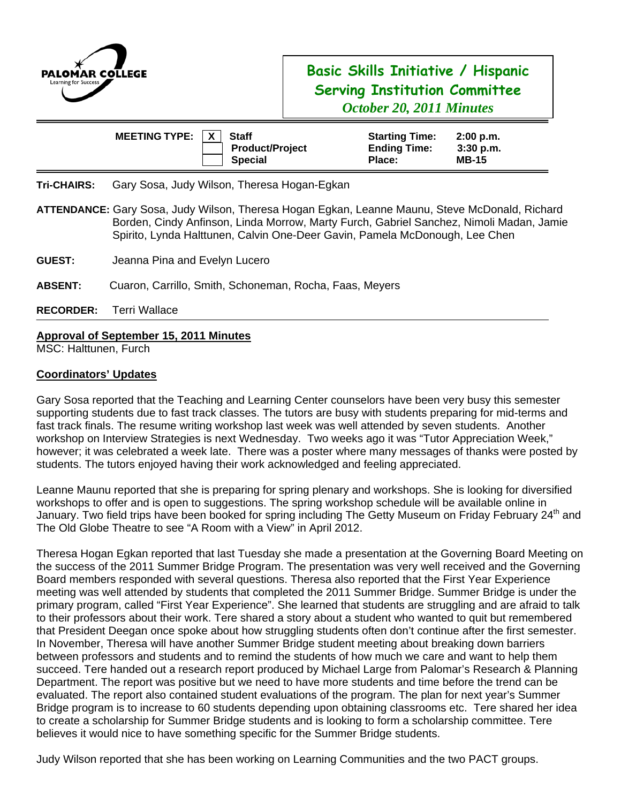

## **Basic Skills Initiative / Hispanic Serving Institution Committee**  *October 20, 2011 Minutes*

| MEETING TYPE: $ X $ | <b>Staff</b>                             | <b>Starting Time:</b>         | 2:00 p.m.                   |
|---------------------|------------------------------------------|-------------------------------|-----------------------------|
|                     | <b>Product/Project</b><br><b>Special</b> | <b>Ending Time:</b><br>Place: | $3:30$ p.m.<br><b>MB-15</b> |

**Tri-CHAIRS:** Gary Sosa, Judy Wilson, Theresa Hogan-Egkan

- **ATTENDANCE:** Gary Sosa, Judy Wilson, Theresa Hogan Egkan, Leanne Maunu, Steve McDonald, Richard Borden, Cindy Anfinson, Linda Morrow, Marty Furch, Gabriel Sanchez, Nimoli Madan, Jamie Spirito, Lynda Halttunen, Calvin One-Deer Gavin, Pamela McDonough, Lee Chen
- **GUEST:** Jeanna Pina and Evelyn Lucero
- **ABSENT:** Cuaron, Carrillo, Smith, Schoneman, Rocha, Faas, Meyers
- **RECORDER:** Terri Wallace

## **Approval of September 15, 2011 Minutes**

MSC: Halttunen, Furch

## **Coordinators' Updates**

Gary Sosa reported that the Teaching and Learning Center counselors have been very busy this semester supporting students due to fast track classes. The tutors are busy with students preparing for mid-terms and fast track finals. The resume writing workshop last week was well attended by seven students. Another workshop on Interview Strategies is next Wednesday. Two weeks ago it was "Tutor Appreciation Week," however; it was celebrated a week late. There was a poster where many messages of thanks were posted by students. The tutors enjoyed having their work acknowledged and feeling appreciated.

Leanne Maunu reported that she is preparing for spring plenary and workshops. She is looking for diversified workshops to offer and is open to suggestions. The spring workshop schedule will be available online in January. Two field trips have been booked for spring including The Getty Museum on Friday February 24<sup>th</sup> and The Old Globe Theatre to see "A Room with a View" in April 2012.

Theresa Hogan Egkan reported that last Tuesday she made a presentation at the Governing Board Meeting on the success of the 2011 Summer Bridge Program. The presentation was very well received and the Governing Board members responded with several questions. Theresa also reported that the First Year Experience meeting was well attended by students that completed the 2011 Summer Bridge. Summer Bridge is under the primary program, called "First Year Experience". She learned that students are struggling and are afraid to talk to their professors about their work. Tere shared a story about a student who wanted to quit but remembered that President Deegan once spoke about how struggling students often don't continue after the first semester. In November, Theresa will have another Summer Bridge student meeting about breaking down barriers between professors and students and to remind the students of how much we care and want to help them succeed. Tere handed out a research report produced by Michael Large from Palomar's Research & Planning Department. The report was positive but we need to have more students and time before the trend can be evaluated. The report also contained student evaluations of the program. The plan for next year's Summer Bridge program is to increase to 60 students depending upon obtaining classrooms etc. Tere shared her idea to create a scholarship for Summer Bridge students and is looking to form a scholarship committee. Tere believes it would nice to have something specific for the Summer Bridge students.

Judy Wilson reported that she has been working on Learning Communities and the two PACT groups.